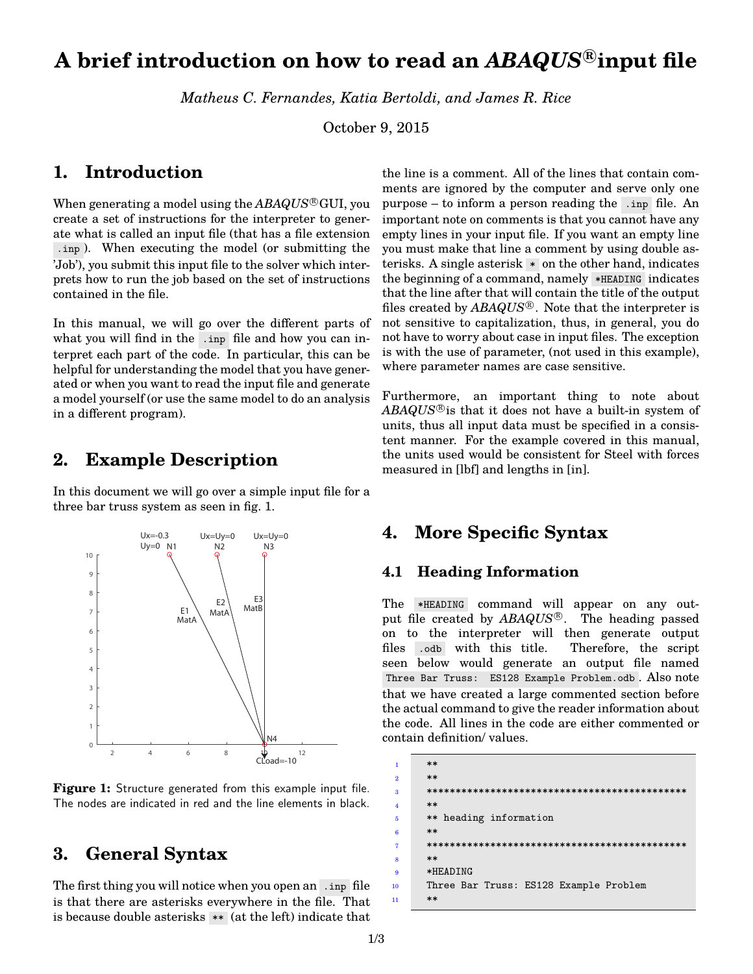# **A brief introduction on how to read an** *ABAQUS* **<sup>R</sup> input file**

*[Matheus C. Fernandes,](http://mcfernandes.com) Katia Bertoldi, and James R. Rice*

October 9, 2015

#### **1. Introduction**

When generating a model using the *ABAQUS*<sup>®</sup>GUI, you create a set of instructions for the interpreter to generate what is called an input file (that has a file extension .inp ). When executing the model (or submitting the 'Job'), you submit this input file to the solver which interprets how to run the job based on the set of instructions contained in the file.

In this manual, we will go over the different parts of what you will find in the .inp file and how you can interpret each part of the code. In particular, this can be helpful for understanding the model that you have generated or when you want to read the input file and generate a model yourself (or use the same model to do an analysis in a different program).

## **2. Example Description**

In this document we will go over a simple input file for a three bar truss system as seen in [fig. 1.](#page-0-0)

<span id="page-0-0"></span>

**Figure 1:** Structure generated from this example input file. The nodes are indicated in red and the line elements in black.

# **3. General Syntax**

The first thing you will notice when you open an .inp file is that there are asterisks everywhere in the file. That is because double asterisks  $**$  (at the left) indicate that

the line is a comment. All of the lines that contain comments are ignored by the computer and serve only one purpose – to inform a person reading the .inp file. An important note on comments is that you cannot have any empty lines in your input file. If you want an empty line you must make that line a comment by using double asterisks. A single asterisk \* on the other hand, indicates the beginning of a command, namely \*HEADING indicates that the line after that will contain the title of the output files created by  $ABAQUS^{\circledR}$ . Note that the interpreter is not sensitive to capitalization, thus, in general, you do not have to worry about case in input files. The exception is with the use of parameter, (not used in this example), where parameter names are case sensitive.

Furthermore, an important thing to note about  $ABAQUS^{\circledR}$  is that it does not have a built-in system of units, thus all input data must be specified in a consistent manner. For the example covered in this manual, the units used would be consistent for Steel with forces measured in [lbf] and lengths in [in].

#### **4. More Specific Syntax**

#### **4.1 Heading Information**

The \*HEADING command will appear on any output file created by  $ABAQUS^{\circledR}$ . The heading passed on to the interpreter will then generate output files .odb with this title. Therefore, the script seen below would generate an output file named Three Bar Truss: ES128 Example Problem.odb . Also note that we have created a large commented section before the actual command to give the reader information about the code. All lines in the code are either commented or contain definition/ values.

| $\blacksquare$   | $***$                                  |  |  |
|------------------|----------------------------------------|--|--|
| $\overline{2}$   | $***$                                  |  |  |
| $\mathbf{a}$     |                                        |  |  |
| $\overline{4}$   | $***$                                  |  |  |
| 5                | ** heading information                 |  |  |
| $\boldsymbol{6}$ | $***$                                  |  |  |
| $\overline{7}$   |                                        |  |  |
| $\mathbf{8}$     | $**$                                   |  |  |
| $\overline{9}$   | *HEADING                               |  |  |
| 10               | Three Bar Truss: ES128 Example Problem |  |  |
| 11               | $***$                                  |  |  |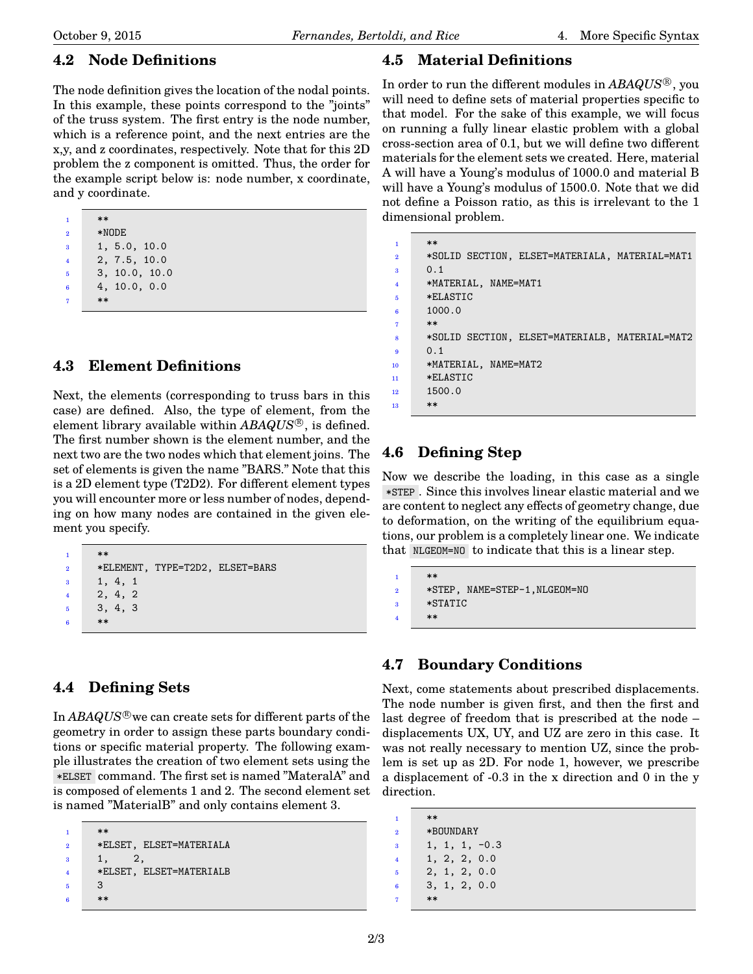#### **4.2 Node Definitions**

The node definition gives the location of the nodal points. In this example, these points correspond to the "joints" of the truss system. The first entry is the node number, which is a reference point, and the next entries are the x,y, and z coordinates, respectively. Note that for this 2D problem the z component is omitted. Thus, the order for the example script below is: node number, x coordinate, and y coordinate.

| 1              | $**$    |     |  |
|----------------|---------|-----|--|
| $\overline{2}$ | $*NODE$ |     |  |
|                |         | 5 O |  |

- $5.0, 10.0$ <sup>4</sup> 2, 7.5, 10.0
- <sup>5</sup> 3, 10.0, 10.0
- <sup>6</sup> 4, 10.0, 0.0
- <sup>7</sup> \*\*

#### **4.3 Element Definitions**

Next, the elements (corresponding to truss bars in this case) are defined. Also, the type of element, from the element library available within *ABAQUS* <sup>R</sup> , is defined. The first number shown is the element number, and the next two are the two nodes which that element joins. The set of elements is given the name "BARS." Note that this is a 2D element type (T2D2). For different element types you will encounter more or less number of nodes, depending on how many nodes are contained in the given element you specify.

```
*2 *ELEMENT, TYPE=T2D2, ELSET=BARS
3 1, 4, 1
4 2, 4, 2
5 3, 4, 3
    **
```
#### **4.4 Defining Sets**

In *ABAQUS*<sup>®</sup> we can create sets for different parts of the geometry in order to assign these parts boundary conditions or specific material property. The following example illustrates the creation of two element sets using the \*ELSET command. The first set is named "MateralA" and is composed of elements 1 and 2. The second element set is named "MaterialB" and only contains element 3.

```
1 **
2 *ELSET, ELSET=MATERIALA
3 \t 1, \t 2,4 *ELSET, ELSET=MATERIALB
5 3
6 **
```
#### **4.5 Material Definitions**

In order to run the different modules in *ABAQUS* <sup>R</sup> , you will need to define sets of material properties specific to that model. For the sake of this example, we will focus on running a fully linear elastic problem with a global cross-section area of 0.1, but we will define two different materials for the element sets we created. Here, material A will have a Young's modulus of 1000.0 and material B will have a Young's modulus of 1500.0. Note that we did not define a Poisson ratio, as this is irrelevant to the 1 dimensional problem.

```
**2 *SOLID SECTION, ELSET=MATERIALA, MATERIAL=MAT1
3 0.1
     4 *MATERIAL, NAME=MAT1
     5 *ELASTIC
     6 1000.0
7 **
     8 *SOLID SECTION, ELSET=MATERIALB, MATERIAL=MAT2
     0.110 *MATERIAL, NAME=MAT2
11 *ELASTIC
12 1500.0
13 **
```
## **4.6 Defining Step**

Now we describe the loading, in this case as a single \*STEP . Since this involves linear elastic material and we are content to neglect any effects of geometry change, due to deformation, on the writing of the equilibrium equations, our problem is a completely linear one. We indicate that NLGEOM=NO to indicate that this is a linear step.

```
1 **
2 *STEP, NAME=STEP-1,NLGEOM=NO
3 *STATIC
    **
```
#### **4.7 Boundary Conditions**

Next, come statements about prescribed displacements. The node number is given first, and then the first and last degree of freedom that is prescribed at the node – displacements UX, UY, and UZ are zero in this case. It was not really necessary to mention UZ, since the problem is set up as 2D. For node 1, however, we prescribe a displacement of -0.3 in the x direction and 0 in the y direction.

<sup>1</sup> \*\* <sup>2</sup> \*BOUNDARY  $3 \t1, 1, 1, -0.3$ <sup>4</sup> 1, 2, 2, 0.0 <sup>5</sup> 2, 1, 2, 0.0 <sup>6</sup> 3, 1, 2, 0.0  $**$